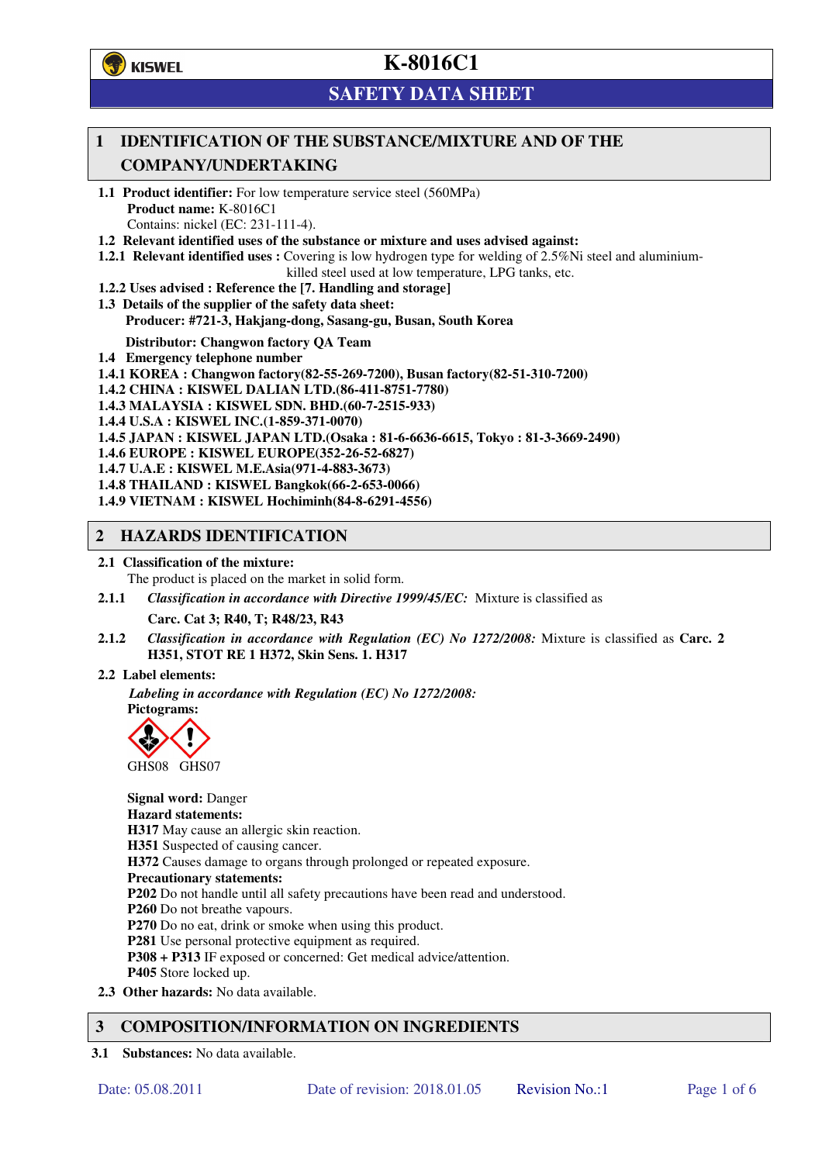**学**)KISWEL

# **K-8016C1**

## **SAFETY DATA SHEET**

### **1 IDENTIFICATION OF THE SUBSTANCE/MIXTURE AND OF THE COMPANY/UNDERTAKING**

- **1.1 Product identifier:** For low temperature service steel (560MPa) **Product name:** K-8016C1 Contains: nickel (EC: 231-111-4).
- **1.2 Relevant identified uses of the substance or mixture and uses advised against:**
- **1.2.1 Relevant identified uses :** Covering is low hydrogen type for welding of 2.5%Ni steel and aluminiumkilled steel used at low temperature, LPG tanks, etc.
- **1.2.2 Uses advised : Reference the [7. Handling and storage]**
- **1.3 Details of the supplier of the safety data sheet: Producer: #721-3, Hakjang-dong, Sasang-gu, Busan, South Korea**

**Distributor: Changwon factory QA Team** 

- **1.4 Emergency telephone number**
- **1.4.1 KOREA : Changwon factory(82-55-269-7200), Busan factory(82-51-310-7200)**
- **1.4.2 CHINA : KISWEL DALIAN LTD.(86-411-8751-7780)**
- **1.4.3 MALAYSIA : KISWEL SDN. BHD.(60-7-2515-933)**
- **1.4.4 U.S.A : KISWEL INC.(1-859-371-0070)**
- **1.4.5 JAPAN : KISWEL JAPAN LTD.(Osaka : 81-6-6636-6615, Tokyo : 81-3-3669-2490)**
- **1.4.6 EUROPE : KISWEL EUROPE(352-26-52-6827)**
- **1.4.7 U.A.E : KISWEL M.E.Asia(971-4-883-3673)**
- **1.4.8 THAILAND : KISWEL Bangkok(66-2-653-0066)**
- **1.4.9 VIETNAM : KISWEL Hochiminh(84-8-6291-4556)**

#### **2 HAZARDS IDENTIFICATION**

- **2.1 Classification of the mixture:** 
	- The product is placed on the market in solid form.
- **2.1.1** *Classification in accordance with Directive 1999/45/EC:* Mixture is classified as

**Carc. Cat 3; R40, T; R48/23, R43** 

- **2.1.2** *Classification in accordance with Regulation (EC) No 1272/2008:* Mixture is classified as **Carc. 2 H351, STOT RE 1 H372, Skin Sens. 1. H317**
- **2.2 Label elements:**

*Labeling in accordance with Regulation (EC) No 1272/2008:*  **Pictograms:** 



**Signal word:** Danger **Hazard statements: H317** May cause an allergic skin reaction. **H351** Suspected of causing cancer. **H372** Causes damage to organs through prolonged or repeated exposure. **Precautionary statements: P202** Do not handle until all safety precautions have been read and understood. **P260** Do not breathe vapours. **P270** Do no eat, drink or smoke when using this product. **P281** Use personal protective equipment as required. **P308 + P313** IF exposed or concerned: Get medical advice/attention. **P405** Store locked up. **2.3 Other hazards:** No data available.

### **3 COMPOSITION/INFORMATION ON INGREDIENTS**

**3.1 Substances:** No data available.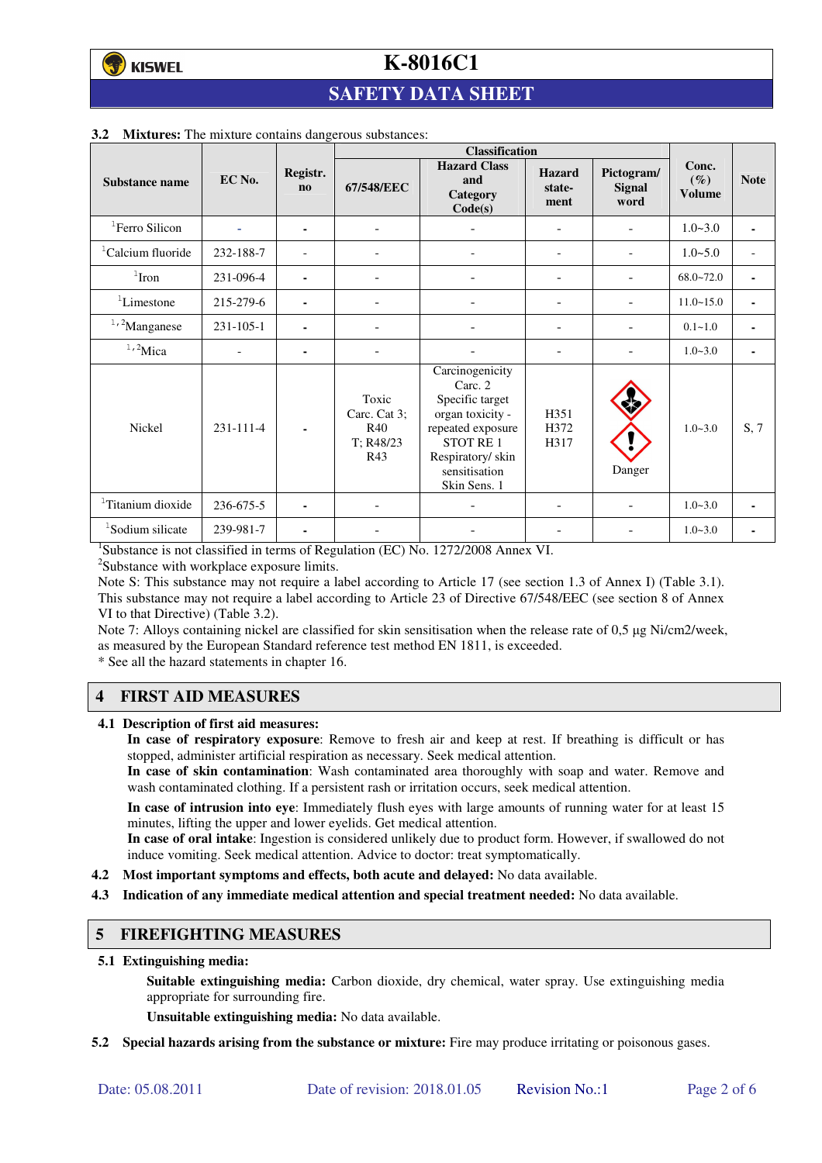## **SAFETY DATA SHEET**

|                               |           |                                    | <b>Classification</b>                            |                                                                                                                                                                |                                 |                              |                                  |                          |
|-------------------------------|-----------|------------------------------------|--------------------------------------------------|----------------------------------------------------------------------------------------------------------------------------------------------------------------|---------------------------------|------------------------------|----------------------------------|--------------------------|
| Substance name                | EC No.    | Registr.<br>$\mathbf{n}\mathbf{o}$ | 67/548/EEC                                       | <b>Hazard Class</b><br>and<br>Category<br>Code(s)                                                                                                              | <b>Hazard</b><br>state-<br>ment | Pictogram/<br>Signal<br>word | Conc.<br>$(\%)$<br><b>Volume</b> | <b>Note</b>              |
| <sup>1</sup> Ferro Silicon    |           | ۰                                  | $\overline{\phantom{a}}$                         |                                                                                                                                                                | Ξ.                              |                              | $1.0 - 3.0$                      | $\blacksquare$           |
| <sup>1</sup> Calcium fluoride | 232-188-7 |                                    |                                                  |                                                                                                                                                                | $\overline{a}$                  |                              | $1.0 - 5.0$                      | $\overline{\phantom{a}}$ |
| $1$ Iron                      | 231-096-4 | ۰                                  |                                                  |                                                                                                                                                                |                                 |                              | $68.0 - 72.0$                    | $\blacksquare$           |
| <sup>1</sup> Limestone        | 215-279-6 | ۰                                  | ٠                                                |                                                                                                                                                                | ۰                               |                              | $11.0 - 15.0$                    | ٠                        |
| $1,2$ Manganese               | 231-105-1 |                                    |                                                  |                                                                                                                                                                |                                 | ۰                            | $0.1 - 1.0$                      | $\blacksquare$           |
| $1,2$ Mica                    |           | ۰                                  |                                                  |                                                                                                                                                                |                                 |                              | $1.0 - 3.0$                      | ٠                        |
| Nickel                        | 231-111-4 |                                    | Toxic<br>Carc. Cat 3;<br>R40<br>T: R48/23<br>R43 | Carcinogenicity<br>Carc. 2<br>Specific target<br>organ toxicity -<br>repeated exposure<br><b>STOT RE1</b><br>Respiratory/skin<br>sensitisation<br>Skin Sens. 1 | H351<br>H372<br>H317            | Danger                       | $1.0 - 3.0$                      | S, 7                     |
| <sup>1</sup> Titanium dioxide | 236-675-5 |                                    |                                                  |                                                                                                                                                                |                                 |                              | $1.0 - 3.0$                      | $\blacksquare$           |
| <sup>1</sup> Sodium silicate  | 239-981-7 | ۰                                  |                                                  |                                                                                                                                                                |                                 |                              | $1.0 - 3.0$                      |                          |

#### **3.2 Mixtures:** The mixture contains dangerous substances:

<sup>1</sup>Substance is not classified in terms of Regulation (EC) No. 1272/2008 Annex VI.

<sup>2</sup>Substance with workplace exposure limits.

Note S: This substance may not require a label according to Article 17 (see section 1.3 of Annex I) (Table 3.1). This substance may not require a label according to Article 23 of Directive 67/548/EEC (see section 8 of Annex VI to that Directive) (Table 3.2).

Note 7: Alloys containing nickel are classified for skin sensitisation when the release rate of 0,5 µg Ni/cm2/week, as measured by the European Standard reference test method EN 1811, is exceeded.

\* See all the hazard statements in chapter 16.

### **4 FIRST AID MEASURES**

**4.1 Description of first aid measures:** 

**In case of respiratory exposure**: Remove to fresh air and keep at rest. If breathing is difficult or has stopped, administer artificial respiration as necessary. Seek medical attention.

**In case of skin contamination**: Wash contaminated area thoroughly with soap and water. Remove and wash contaminated clothing. If a persistent rash or irritation occurs, seek medical attention.

 **In case of intrusion into eye**: Immediately flush eyes with large amounts of running water for at least 15 minutes, lifting the upper and lower eyelids. Get medical attention.

**In case of oral intake**: Ingestion is considered unlikely due to product form. However, if swallowed do not induce vomiting. Seek medical attention. Advice to doctor: treat symptomatically.

- **4.2 Most important symptoms and effects, both acute and delayed:** No data available.
- **4.3 Indication of any immediate medical attention and special treatment needed:** No data available.

#### **5 FIREFIGHTING MEASURES**

**5.1 Extinguishing media:** 

**Suitable extinguishing media:** Carbon dioxide, dry chemical, water spray. Use extinguishing media appropriate for surrounding fire.

**Unsuitable extinguishing media:** No data available.

**5.2 Special hazards arising from the substance or mixture:** Fire may produce irritating or poisonous gases.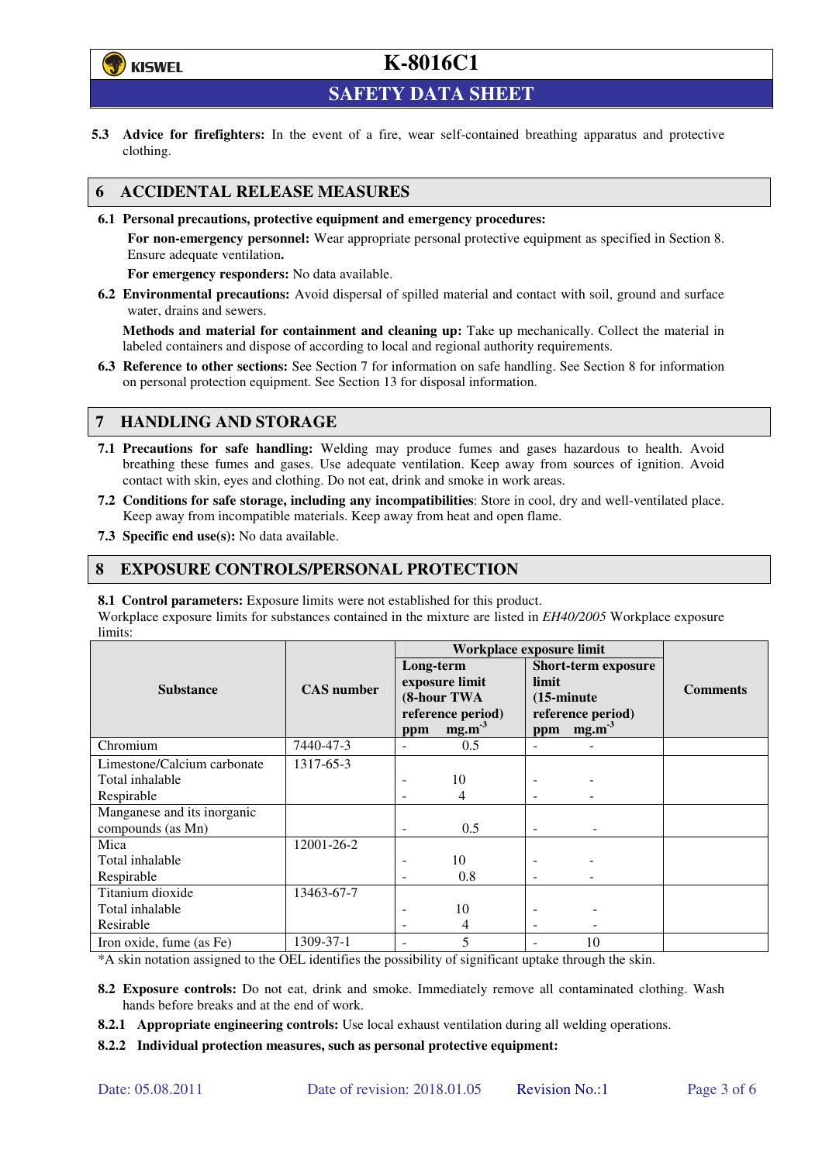

**SAFETY DATA SHEET** 

**5.3 Advice for firefighters:** In the event of a fire, wear self-contained breathing apparatus and protective clothing.

#### **6 ACCIDENTAL RELEASE MEASURES**

**6.1 Personal precautions, protective equipment and emergency procedures:** 

**For non-emergency personnel:** Wear appropriate personal protective equipment as specified in Section 8. Ensure adequate ventilation**.** 

**For emergency responders:** No data available.

**6.2 Environmental precautions:** Avoid dispersal of spilled material and contact with soil, ground and surface water, drains and sewers.

**Methods and material for containment and cleaning up:** Take up mechanically. Collect the material in labeled containers and dispose of according to local and regional authority requirements.

**6.3 Reference to other sections:** See Section 7 for information on safe handling. See Section 8 for information on personal protection equipment. See Section 13 for disposal information.

#### **7 HANDLING AND STORAGE**

- **7.1 Precautions for safe handling:** Welding may produce fumes and gases hazardous to health. Avoid breathing these fumes and gases. Use adequate ventilation. Keep away from sources of ignition. Avoid contact with skin, eyes and clothing. Do not eat, drink and smoke in work areas.
- **7.2 Conditions for safe storage, including any incompatibilities**: Store in cool, dry and well-ventilated place. Keep away from incompatible materials. Keep away from heat and open flame.
- **7.3 Specific end use(s):** No data available.

#### **8 EXPOSURE CONTROLS/PERSONAL PROTECTION**

**8.1 Control parameters:** Exposure limits were not established for this product.

Workplace exposure limits for substances contained in the mixture are listed in *EH40/2005* Workplace exposure limits:

|                                                  |                   | Workplace exposure limit |                                                                         |                                      |                                                                      |                 |
|--------------------------------------------------|-------------------|--------------------------|-------------------------------------------------------------------------|--------------------------------------|----------------------------------------------------------------------|-----------------|
| <b>Substance</b>                                 | <b>CAS</b> number | Long-term<br>ppm         | exposure limit<br>(8-hour TWA<br>reference period)<br>mg.m <sup>3</sup> | limit<br>$(15\text{-minute})$<br>ppm | <b>Short-term exposure</b><br>reference period)<br>mg.m <sup>3</sup> | <b>Comments</b> |
| Chromium                                         | 7440-47-3         |                          | 0.5                                                                     |                                      |                                                                      |                 |
| Limestone/Calcium carbonate                      | 1317-65-3         |                          |                                                                         |                                      |                                                                      |                 |
| Total inhalable                                  |                   |                          | 10                                                                      |                                      |                                                                      |                 |
| Respirable                                       |                   |                          | 4                                                                       |                                      |                                                                      |                 |
| Manganese and its inorganic<br>compounds (as Mn) |                   | ٠                        | 0.5                                                                     | $\overline{\phantom{0}}$             |                                                                      |                 |
| Mica                                             | 12001-26-2        |                          |                                                                         |                                      |                                                                      |                 |
| Total inhalable                                  |                   |                          | 10                                                                      |                                      |                                                                      |                 |
| Respirable                                       |                   |                          | 0.8                                                                     |                                      |                                                                      |                 |
| Titanium dioxide                                 | 13463-67-7        |                          |                                                                         |                                      |                                                                      |                 |
| Total inhalable                                  |                   |                          | 10                                                                      |                                      |                                                                      |                 |
| Resirable                                        |                   |                          | 4                                                                       |                                      |                                                                      |                 |
| Iron oxide, fume (as Fe)                         | 1309-37-1         |                          | 5                                                                       |                                      | 10                                                                   |                 |

\*A skin notation assigned to the OEL identifies the possibility of significant uptake through the skin.

- **8.2 Exposure controls:** Do not eat, drink and smoke. Immediately remove all contaminated clothing. Wash hands before breaks and at the end of work.
- **8.2.1 Appropriate engineering controls:** Use local exhaust ventilation during all welding operations.

**8.2.2 Individual protection measures, such as personal protective equipment:**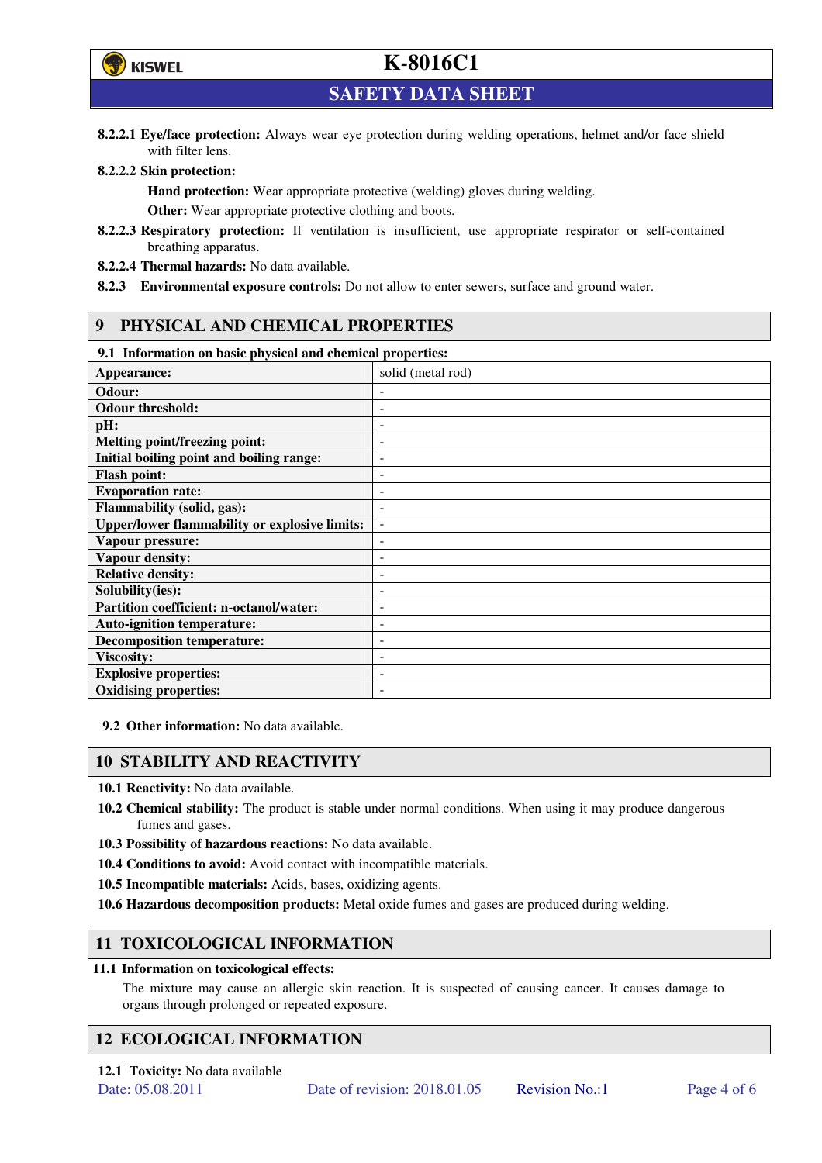

**SAFETY DATA SHEET** 

**8.2.2.1 Eye/face protection:** Always wear eye protection during welding operations, helmet and/or face shield with filter lens.

#### **8.2.2.2 Skin protection:**

**Hand protection:** Wear appropriate protective (welding) gloves during welding. **Other:** Wear appropriate protective clothing and boots.

- **8.2.2.3 Respiratory protection:** If ventilation is insufficient, use appropriate respirator or self-contained breathing apparatus.
- **8.2.2.4 Thermal hazards:** No data available.
- **8.2.3 Environmental exposure controls:** Do not allow to enter sewers, surface and ground water.

#### **9 PHYSICAL AND CHEMICAL PROPERTIES**

#### **9.1 Information on basic physical and chemical properties:**

| 2.1 - пиогналон он важе рнужаг ана сисписаг ргорсгисэ. |                          |  |  |  |
|--------------------------------------------------------|--------------------------|--|--|--|
| Appearance:                                            | solid (metal rod)        |  |  |  |
| Odour:                                                 |                          |  |  |  |
| <b>Odour threshold:</b>                                |                          |  |  |  |
| pH:                                                    |                          |  |  |  |
| <b>Melting point/freezing point:</b>                   | -                        |  |  |  |
| Initial boiling point and boiling range:               | -                        |  |  |  |
| <b>Flash point:</b>                                    |                          |  |  |  |
| <b>Evaporation rate:</b>                               |                          |  |  |  |
| <b>Flammability (solid, gas):</b>                      |                          |  |  |  |
| <b>Upper/lower flammability or explosive limits:</b>   | $\overline{\phantom{a}}$ |  |  |  |
| Vapour pressure:                                       | $\overline{a}$           |  |  |  |
| Vapour density:                                        |                          |  |  |  |
| <b>Relative density:</b>                               |                          |  |  |  |
| Solubility(ies):                                       |                          |  |  |  |
| Partition coefficient: n-octanol/water:                | -                        |  |  |  |
| <b>Auto-ignition temperature:</b>                      | -                        |  |  |  |
| <b>Decomposition temperature:</b>                      |                          |  |  |  |
| <b>Viscosity:</b>                                      |                          |  |  |  |
| <b>Explosive properties:</b>                           | $\overline{\phantom{0}}$ |  |  |  |
| <b>Oxidising properties:</b>                           | -                        |  |  |  |
|                                                        |                          |  |  |  |

**9.2 Other information:** No data available.

#### **10 STABILITY AND REACTIVITY**

**10.1 Reactivity:** No data available.

- **10.2 Chemical stability:** The product is stable under normal conditions. When using it may produce dangerous fumes and gases.
- **10.3 Possibility of hazardous reactions:** No data available.
- **10.4 Conditions to avoid:** Avoid contact with incompatible materials.
- **10.5 Incompatible materials:** Acids, bases, oxidizing agents.
- **10.6 Hazardous decomposition products:** Metal oxide fumes and gases are produced during welding.

### **11 TOXICOLOGICAL INFORMATION**

#### **11.1 Information on toxicological effects:**

The mixture may cause an allergic skin reaction. It is suspected of causing cancer. It causes damage to organs through prolonged or repeated exposure.

### **12 ECOLOGICAL INFORMATION**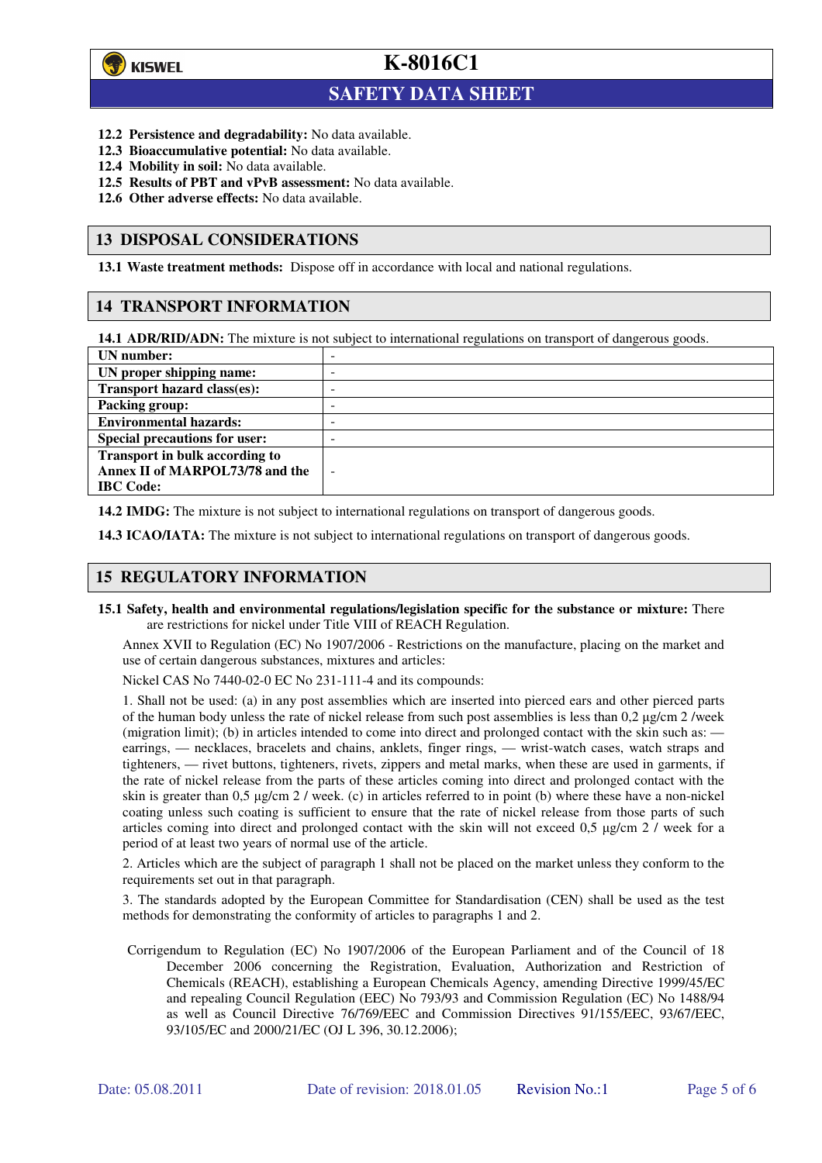

 $\overline{a}$ 

**K-8016C1**

### **SAFETY DATA SHEET**

- **12.2 Persistence and degradability:** No data available.
- **12.3 Bioaccumulative potential:** No data available.
- **12.4 Mobility in soil:** No data available.
- **12.5 Results of PBT and vPvB assessment:** No data available.
- **12.6 Other adverse effects:** No data available.

#### **13 DISPOSAL CONSIDERATIONS**

**13.1 Waste treatment methods:** Dispose off in accordance with local and national regulations.

#### **14 TRANSPORT INFORMATION**

**14.1 ADR/RID/ADN:** The mixture is not subject to international regulations on transport of dangerous goods.

| UN number:                            | - |
|---------------------------------------|---|
| UN proper shipping name:              | - |
| Transport hazard class(es):           | - |
| <b>Packing group:</b>                 | - |
| <b>Environmental hazards:</b>         | - |
| <b>Special precautions for user:</b>  | - |
| <b>Transport in bulk according to</b> |   |
| Annex II of MARPOL73/78 and the       | - |
| <b>IBC</b> Code:                      |   |

**14.2 IMDG:** The mixture is not subject to international regulations on transport of dangerous goods.

**14.3 ICAO/IATA:** The mixture is not subject to international regulations on transport of dangerous goods.

#### **15 REGULATORY INFORMATION**

**15.1 Safety, health and environmental regulations/legislation specific for the substance or mixture:** There are restrictions for nickel under Title VIII of REACH Regulation.

Annex XVII to Regulation (EC) No 1907/2006 - Restrictions on the manufacture, placing on the market and use of certain dangerous substances, mixtures and articles:

Nickel CAS No 7440-02-0 EC No 231-111-4 and its compounds:

1. Shall not be used: (a) in any post assemblies which are inserted into pierced ears and other pierced parts of the human body unless the rate of nickel release from such post assemblies is less than  $0.2 \mu$ g/cm  $2$ /week (migration limit); (b) in articles intended to come into direct and prolonged contact with the skin such as: earrings, — necklaces, bracelets and chains, anklets, finger rings, — wrist-watch cases, watch straps and tighteners, — rivet buttons, tighteners, rivets, zippers and metal marks, when these are used in garments, if the rate of nickel release from the parts of these articles coming into direct and prolonged contact with the skin is greater than 0,5 µg/cm 2 / week. (c) in articles referred to in point (b) where these have a non-nickel coating unless such coating is sufficient to ensure that the rate of nickel release from those parts of such articles coming into direct and prolonged contact with the skin will not exceed 0,5 µg/cm 2 / week for a period of at least two years of normal use of the article.

2. Articles which are the subject of paragraph 1 shall not be placed on the market unless they conform to the requirements set out in that paragraph.

3. The standards adopted by the European Committee for Standardisation (CEN) shall be used as the test methods for demonstrating the conformity of articles to paragraphs 1 and 2.

Corrigendum to Regulation (EC) No 1907/2006 of the European Parliament and of the Council of 18 December 2006 concerning the Registration, Evaluation, Authorization and Restriction of Chemicals (REACH), establishing a European Chemicals Agency, amending Directive 1999/45/EC and repealing Council Regulation (EEC) No 793/93 and Commission Regulation (EC) No 1488/94 as well as Council Directive 76/769/EEC and Commission Directives 91/155/EEC, 93/67/EEC, 93/105/EC and 2000/21/EC (OJ L 396, 30.12.2006);